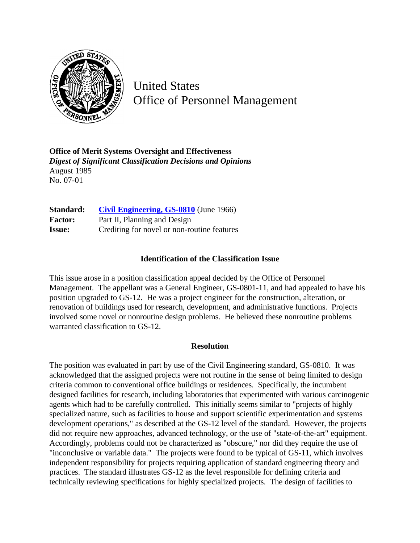

United States Office of Personnel Management

**Office of Merit Systems Oversight and Effectiveness** *Digest of Significant Classification Decisions and Opinions* August 1985 No. 07-01

**Standard: [Civil Engineering, GS-0810](http://www.opm.gov/hr/fedclass/gs0810.pdf)** (June 1966) Factor: Part II, Planning and Design **Issue:** Crediting for novel or non-routine features

## **Identification of the Classification Issue**

This issue arose in a position classification appeal decided by the Office of Personnel Management. The appellant was a General Engineer, GS-0801-11, and had appealed to have his position upgraded to GS-12. He was a project engineer for the construction, alteration, or renovation of buildings used for research, development, and administrative functions. Projects involved some novel or nonroutine design problems. He believed these nonroutine problems warranted classification to GS-12.

## **Resolution**

The position was evaluated in part by use of the Civil Engineering standard, GS-0810. It was acknowledged that the assigned projects were not routine in the sense of being limited to design criteria common to conventional office buildings or residences. Specifically, the incumbent designed facilities for research, including laboratories that experimented with various carcinogenic agents which had to be carefully controlled. This initially seems similar to "projects of highly specialized nature, such as facilities to house and support scientific experimentation and systems development operations," as described at the GS-12 level of the standard. However, the projects did not require new approaches, advanced technology, or the use of "state-of-the-art" equipment. Accordingly, problems could not be characterized as "obscure," nor did they require the use of "inconclusive or variable data." The projects were found to be typical of GS-11, which involves independent responsibility for projects requiring application of standard engineering theory and practices. The standard illustrates GS-12 as the level responsible for defining criteria and technically reviewing specifications for highly specialized projects. The design of facilities to